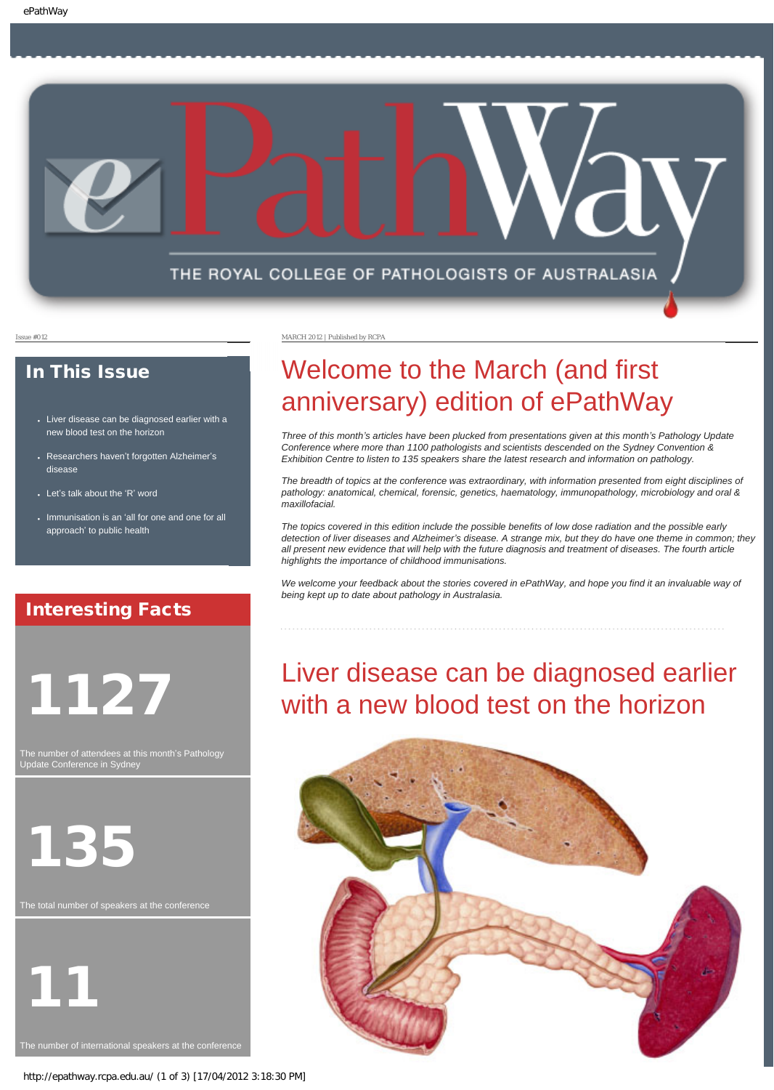

### In This Issue

- Liver disease can be diagnosed earlier with a [new blood test on the horizon](#page-0-0)
- Researchers haven'[t forgotten Alzheimer](#page-1-0)'s [disease](#page-1-0)
- Let'[s talk about the](#page-1-1) 'R' word
- Immunisation is an '[all for one and one for all](#page-1-2) approach' [to public health](#page-1-2)

## Interesting Facts

<span id="page-0-0"></span>1127

The number of attendees at this month's Pathology Update Conference in Sydney



11

Issue #012 MARCH 2012 | Published by RCPA

# Welcome to the March (and first anniversary) edition of ePathWay

*Three of this month's articles have been plucked from presentations given at this month's Pathology Update Conference where more than 1100 pathologists and scientists descended on the Sydney Convention & Exhibition Centre to listen to 135 speakers share the latest research and information on pathology.* 

*The breadth of topics at the conference was extraordinary, with information presented from eight disciplines of pathology: anatomical, chemical, forensic, genetics, haematology, immunopathology, microbiology and oral & maxillofacial.* 

*The topics covered in this edition include the possible benefits of low dose radiation and the possible early detection of liver diseases and Alzheimer's disease. A strange mix, but they do have one theme in common; they all present new evidence that will help with the future diagnosis and treatment of diseases. The fourth article highlights the importance of childhood immunisations.*

*We welcome your feedback about the stories covered in ePathWay, and hope you find it an invaluable way of being kept up to date about pathology in Australasia.*

## Liver disease can be diagnosed earlier with a new blood test on the horizon

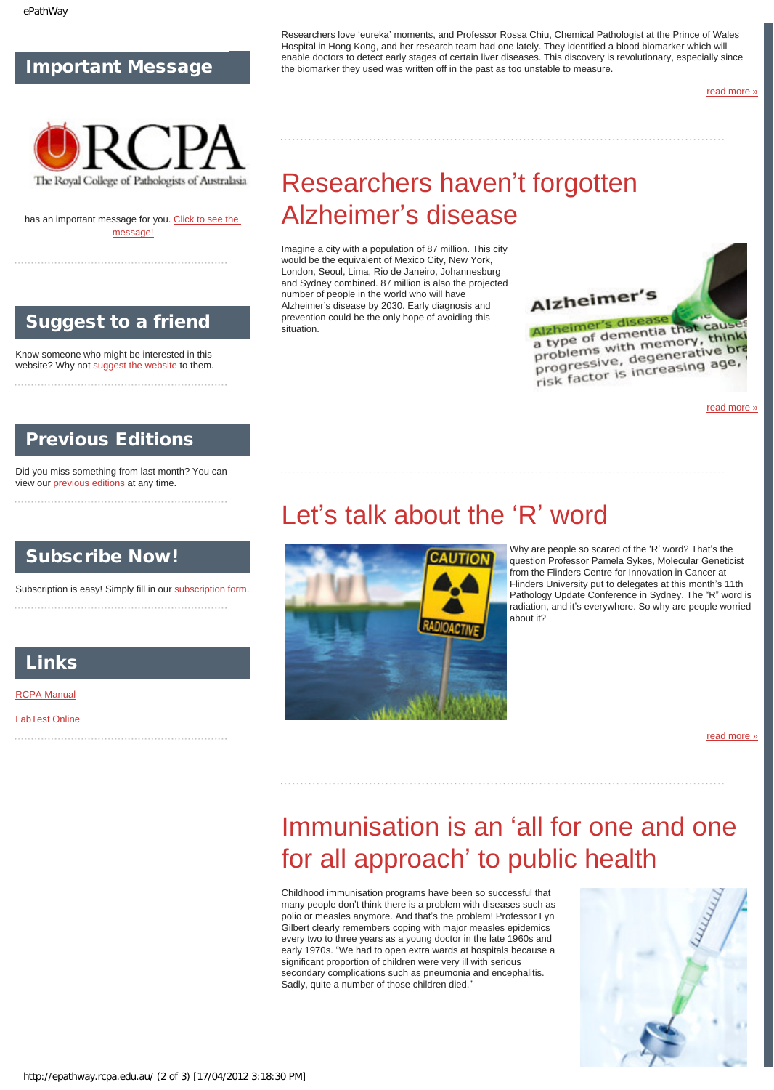### Important Message



<span id="page-1-0"></span>has an important message for you. [Click to see the](http://epathway.rcpa.edu.au/notice.html) [message!](http://epathway.rcpa.edu.au/notice.html)

### Suggest to a friend

Know someone who might be interested in this website? Why not [suggest the website](mailto:?Subject=I%20think%20you%20should%20read%20this%20Newsletter=
http://epathway.rcpa.edu.au/index.html) to them.

### Previous Editions

<span id="page-1-1"></span>Did you miss something from last month? You can view our [previous editions](http://epathway.rcpa.edu.au/previous.html) at any time.

### Subscribe Now!

Subscription is easy! Simply fill in our [subscription form.](http://epathway.rcpa.edu.au/subscription.html) 

### Links

[RCPA Manual](http://rcpamanual.edu.au/)

<span id="page-1-2"></span>[LabTest Online](http://www.labtestsonline.org.au/)

Researchers love 'eureka' moments, and Professor Rossa Chiu, Chemical Pathologist at the Prince of Wales Hospital in Hong Kong, and her research team had one lately. They identified a blood biomarker which will enable doctors to detect early stages of certain liver diseases. This discovery is revolutionary, especially since the biomarker they used was written off in the past as too unstable to measure.

[read more »](#page-3-0)

# Researchers haven't forgotten Alzheimer's disease

Imagine a city with a population of 87 million. This city would be the equivalent of Mexico City, New York, London, Seoul, Lima, Rio de Janeiro, Johannesburg and Sydney combined. 87 million is also the projected number of people in the world who will have Alzheimer's disease by 2030. Early diagnosis and prevention could be the only hope of avoiding this situation.



Alzheimer's disease Alzheimer's disease<br>a type of dementia that cause alzhelme of dementia that thinki<br>a type of dementia that thinki<br>problems with memory, thinki a type or with memory, think<br>problems with memory, think<br>progressive, degenerative bra proplement degenerative<br>progressive, degenerative<br>risk factor is increasing age,

[read more »](#page-4-0)

## Let's talk about the 'R' word



Why are people so scared of the 'R' word? That's the question Professor Pamela Sykes, Molecular Geneticist from the Flinders Centre for Innovation in Cancer at Flinders University put to delegates at this month's 11th Pathology Update Conference in Sydney. The "R" word is radiation, and it's everywhere. So why are people worried about it?

[read more »](#page-6-0)

## Immunisation is an 'all for one and one for all approach' to public health

Childhood immunisation programs have been so successful that many people don't think there is a problem with diseases such as polio or measles anymore. And that's the problem! Professor Lyn Gilbert clearly remembers coping with major measles epidemics every two to three years as a young doctor in the late 1960s and early 1970s. "We had to open extra wards at hospitals because a significant proportion of children were very ill with serious secondary complications such as pneumonia and encephalitis. Sadly, quite a number of those children died."

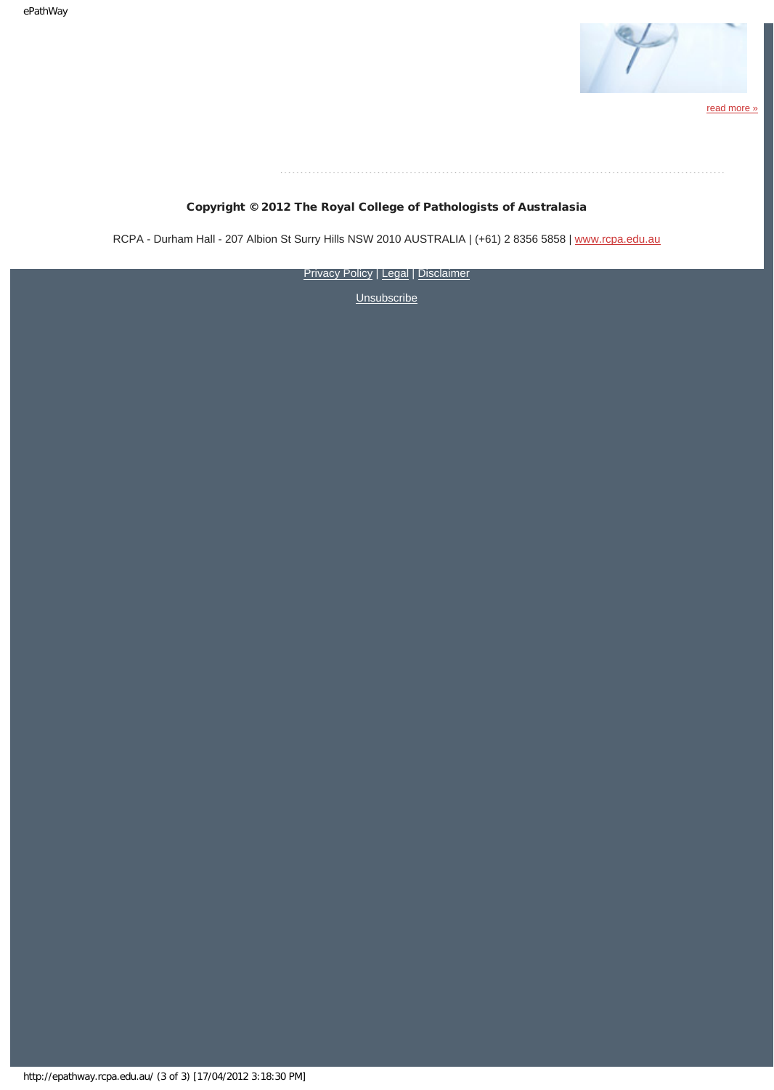

[read more »](#page-8-0)

### Copyright © 2012 The Royal College of Pathologists of Australasia

RCPA - Durham Hall - 207 Albion St Surry Hills NSW 2010 AUSTRALIA | (+61) 2 8356 5858 | [www.rcpa.edu.au](http://www.rcpa.edu.au/)

[Privacy Policy](http://www.rcpa.edu.au/Privacy.htm) | [Legal](http://www.rcpa.edu.au/Legal.htm) | [Disclaimer](http://www.rcpa.edu.au/Disclaimer.htm)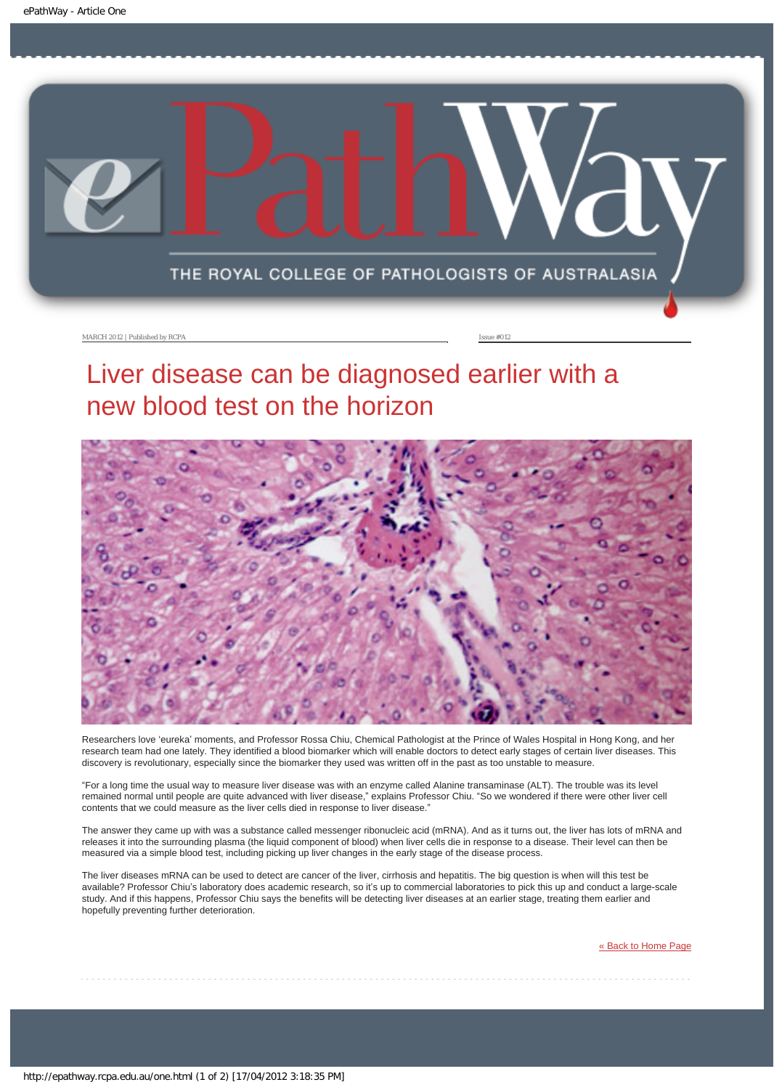<span id="page-3-0"></span>

MARCH 2012 | Published by RCPA **Issue #012** 

## Liver disease can be diagnosed earlier with a new blood test on the horizon



Researchers love 'eureka' moments, and Professor Rossa Chiu, Chemical Pathologist at the Prince of Wales Hospital in Hong Kong, and her research team had one lately. They identified a blood biomarker which will enable doctors to detect early stages of certain liver diseases. This discovery is revolutionary, especially since the biomarker they used was written off in the past as too unstable to measure.

"For a long time the usual way to measure liver disease was with an enzyme called Alanine transaminase (ALT). The trouble was its level remained normal until people are quite advanced with liver disease," explains Professor Chiu. "So we wondered if there were other liver cell contents that we could measure as the liver cells died in response to liver disease."

The answer they came up with was a substance called messenger ribonucleic acid (mRNA). And as it turns out, the liver has lots of mRNA and releases it into the surrounding plasma (the liquid component of blood) when liver cells die in response to a disease. Their level can then be measured via a simple blood test, including picking up liver changes in the early stage of the disease process.

The liver diseases mRNA can be used to detect are cancer of the liver, cirrhosis and hepatitis. The big question is when will this test be available? Professor Chiu's laboratory does academic research, so it's up to commercial laboratories to pick this up and conduct a large-scale study. And if this happens, Professor Chiu says the benefits will be detecting liver diseases at an earlier stage, treating them earlier and hopefully preventing further deterioration.

[« Back to Home Page](http://epathway.rcpa.edu.au/index.html)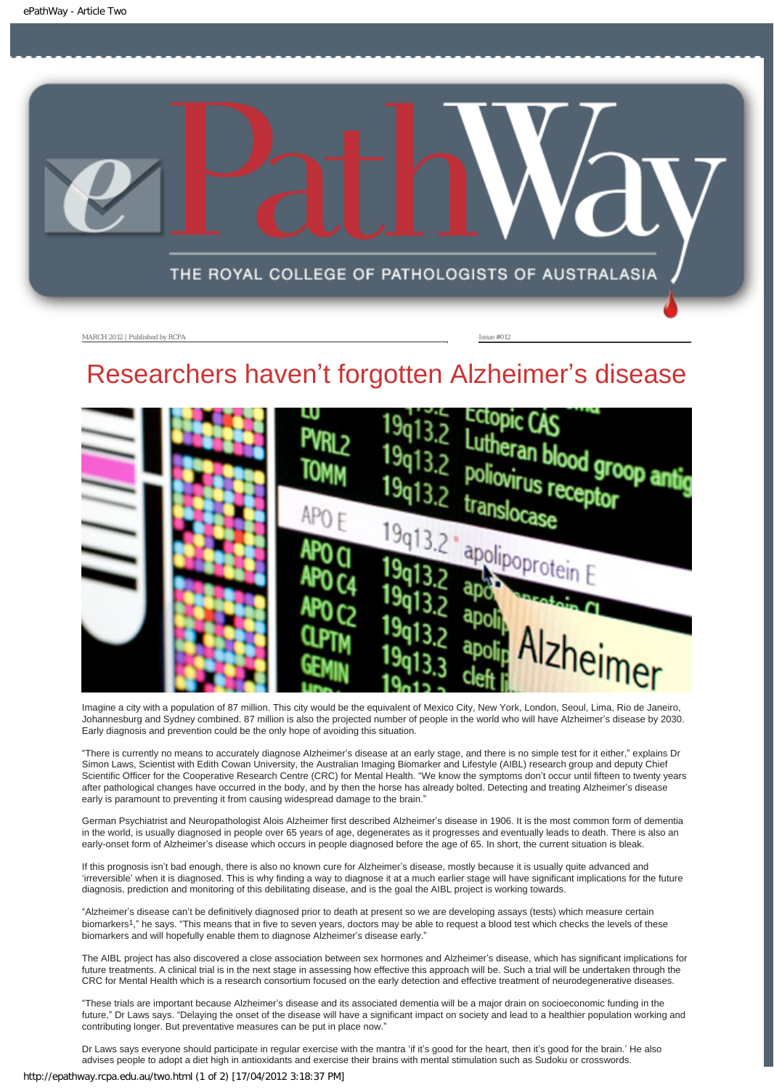<span id="page-4-0"></span>

MARCH 2012 | Published by RCPA **Issue #012** 

# Researchers haven't forgotten Alzheimer's disease



Imagine a city with a population of 87 million. This city would be the equivalent of Mexico City, New York, London, Seoul, Lima, Rio de Janeiro, Johannesburg and Sydney combined. 87 million is also the projected number of people in the world who will have Alzheimer's disease by 2030. Early diagnosis and prevention could be the only hope of avoiding this situation.

"There is currently no means to accurately diagnose Alzheimer's disease at an early stage, and there is no simple test for it either," explains Dr Simon Laws, Scientist with Edith Cowan University, the Australian Imaging Biomarker and Lifestyle (AIBL) research group and deputy Chief Scientific Officer for the Cooperative Research Centre (CRC) for Mental Health. "We know the symptoms don't occur until fifteen to twenty years after pathological changes have occurred in the body, and by then the horse has already bolted. Detecting and treating Alzheimer's disease early is paramount to preventing it from causing widespread damage to the brain."

German Psychiatrist and Neuropathologist Alois Alzheimer first described Alzheimer's disease in 1906. It is the most common form of dementia in the world, is usually diagnosed in people over 65 years of age, degenerates as it progresses and eventually leads to death. There is also an early-onset form of Alzheimer's disease which occurs in people diagnosed before the age of 65. In short, the current situation is bleak.

If this prognosis isn't bad enough, there is also no known cure for Alzheimer's disease, mostly because it is usually quite advanced and 'irreversible' when it is diagnosed. This is why finding a way to diagnose it at a much earlier stage will have significant implications for the future diagnosis, prediction and monitoring of this debilitating disease, and is the goal the AIBL project is working towards.

"Alzheimer's disease can't be definitively diagnosed prior to death at present so we are developing assays (tests) which measure certain biomarkers1," he says. "This means that in five to seven years, doctors may be able to request a blood test which checks the levels of these biomarkers and will hopefully enable them to diagnose Alzheimer's disease early."

The AIBL project has also discovered a close association between sex hormones and Alzheimer's disease, which has significant implications for future treatments. A clinical trial is in the next stage in assessing how effective this approach will be. Such a trial will be undertaken through the CRC for Mental Health which is a research consortium focused on the early detection and effective treatment of neurodegenerative diseases.

"These trials are important because Alzheimer's disease and its associated dementia will be a major drain on socioeconomic funding in the future," Dr Laws says. "Delaying the onset of the disease will have a significant impact on society and lead to a healthier population working and contributing longer. But preventative measures can be put in place now."

Dr Laws says everyone should participate in regular exercise with the mantra 'if it's good for the heart, then it's good for the brain.' He also advises people to adopt a diet high in antioxidants and exercise their brains with mental stimulation such as Sudoku or crosswords.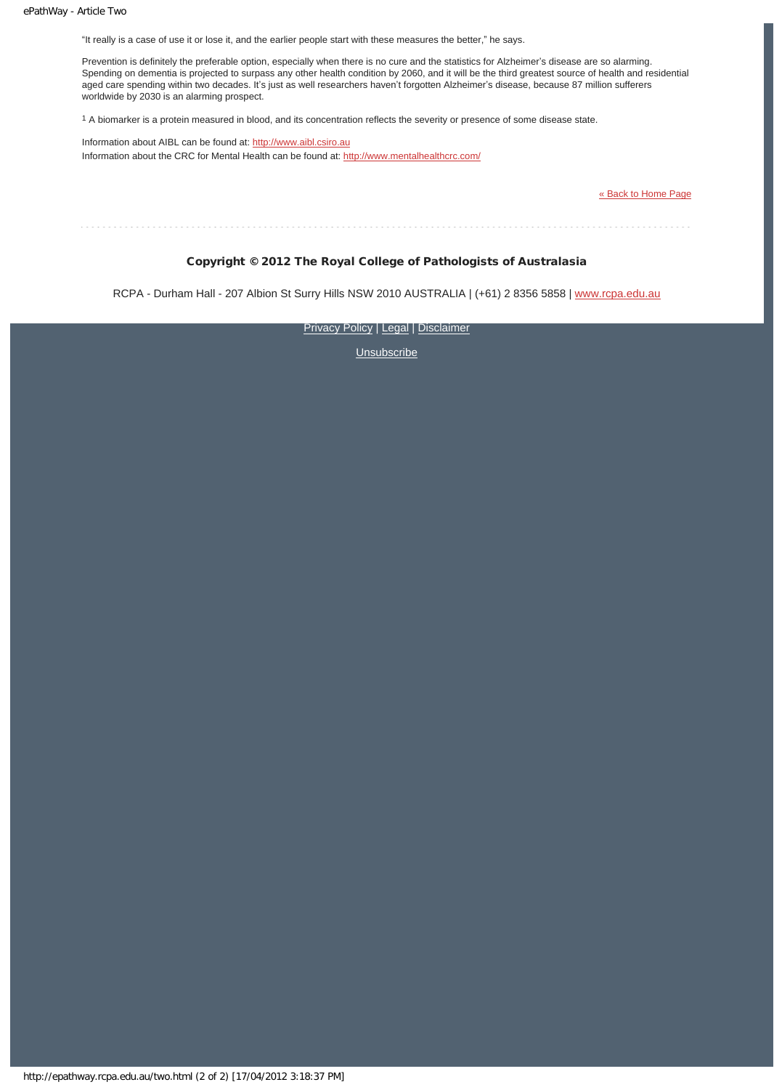"It really is a case of use it or lose it, and the earlier people start with these measures the better," he says.

Prevention is definitely the preferable option, especially when there is no cure and the statistics for Alzheimer's disease are so alarming. Spending on dementia is projected to surpass any other health condition by 2060, and it will be the third greatest source of health and residential aged care spending within two decades. It's just as well researchers haven't forgotten Alzheimer's disease, because 87 million sufferers worldwide by 2030 is an alarming prospect.

1 A biomarker is a protein measured in blood, and its concentration reflects the severity or presence of some disease state.

Information about AIBL can be found at: [http://www.aibl.csiro.au](http://www.aibl.csiro.au/) Information about the CRC for Mental Health can be found at: <http://www.mentalhealthcrc.com/>

[« Back to Home Page](http://epathway.rcpa.edu.au/index.html)

### Copyright © 2012 The Royal College of Pathologists of Australasia

RCPA - Durham Hall - 207 Albion St Surry Hills NSW 2010 AUSTRALIA | (+61) 2 8356 5858 | [www.rcpa.edu.au](http://www.rcpa.edu.au/)

**[Privacy Policy](http://www.rcpa.edu.au/Privacy.htm) | [Legal](http://www.rcpa.edu.au/Legal.htm) | [Disclaimer](http://www.rcpa.edu.au/Disclaimer.htm)**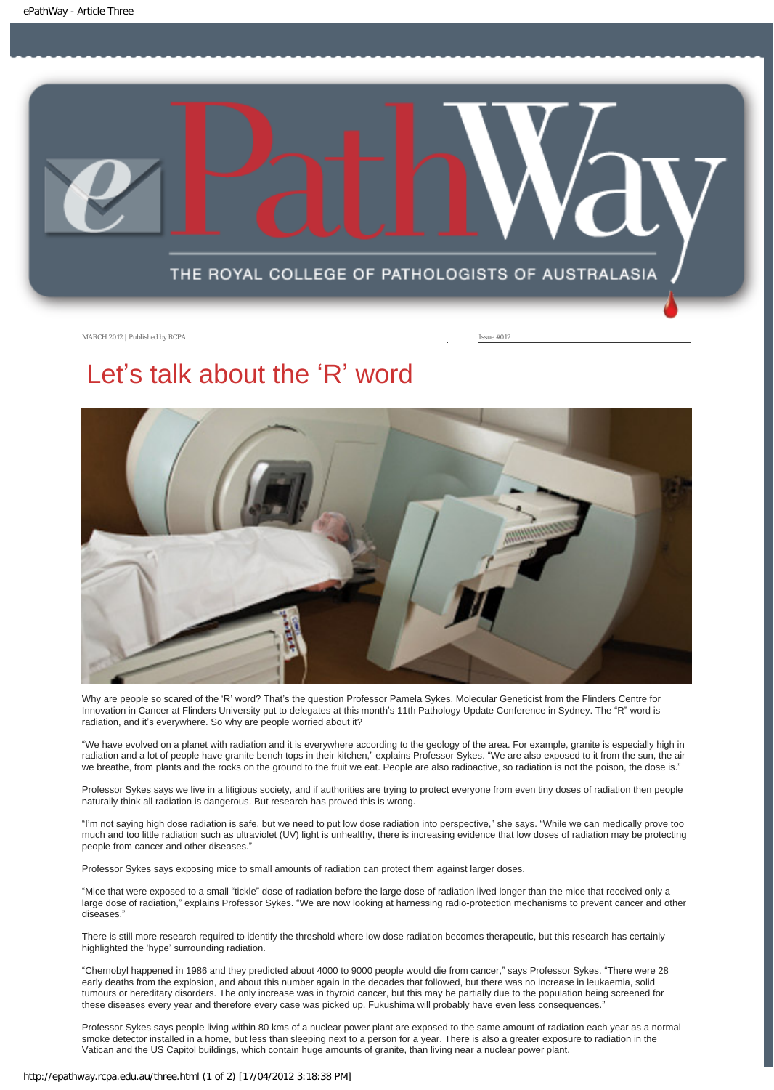<span id="page-6-0"></span>

MARCH 2012 | Published by RCPA **Issue #012** 

## Let's talk about the 'R' word



Why are people so scared of the 'R' word? That's the question Professor Pamela Sykes, Molecular Geneticist from the Flinders Centre for Innovation in Cancer at Flinders University put to delegates at this month's 11th Pathology Update Conference in Sydney. The "R" word is radiation, and it's everywhere. So why are people worried about it?

"We have evolved on a planet with radiation and it is everywhere according to the geology of the area. For example, granite is especially high in radiation and a lot of people have granite bench tops in their kitchen," explains Professor Sykes. "We are also exposed to it from the sun, the air we breathe, from plants and the rocks on the ground to the fruit we eat. People are also radioactive, so radiation is not the poison, the dose is."

Professor Sykes says we live in a litigious society, and if authorities are trying to protect everyone from even tiny doses of radiation then people naturally think all radiation is dangerous. But research has proved this is wrong.

"I'm not saying high dose radiation is safe, but we need to put low dose radiation into perspective," she says. "While we can medically prove too much and too little radiation such as ultraviolet (UV) light is unhealthy, there is increasing evidence that low doses of radiation may be protecting people from cancer and other diseases."

Professor Sykes says exposing mice to small amounts of radiation can protect them against larger doses.

"Mice that were exposed to a small "tickle" dose of radiation before the large dose of radiation lived longer than the mice that received only a large dose of radiation," explains Professor Sykes. "We are now looking at harnessing radio-protection mechanisms to prevent cancer and other diseases."

There is still more research required to identify the threshold where low dose radiation becomes therapeutic, but this research has certainly highlighted the 'hype' surrounding radiation.

"Chernobyl happened in 1986 and they predicted about 4000 to 9000 people would die from cancer," says Professor Sykes. "There were 28 early deaths from the explosion, and about this number again in the decades that followed, but there was no increase in leukaemia, solid tumours or hereditary disorders. The only increase was in thyroid cancer, but this may be partially due to the population being screened for these diseases every year and therefore every case was picked up. Fukushima will probably have even less consequences."

Professor Sykes says people living within 80 kms of a nuclear power plant are exposed to the same amount of radiation each year as a normal smoke detector installed in a home, but less than sleeping next to a person for a year. There is also a greater exposure to radiation in the Vatican and the US Capitol buildings, which contain huge amounts of granite, than living near a nuclear power plant.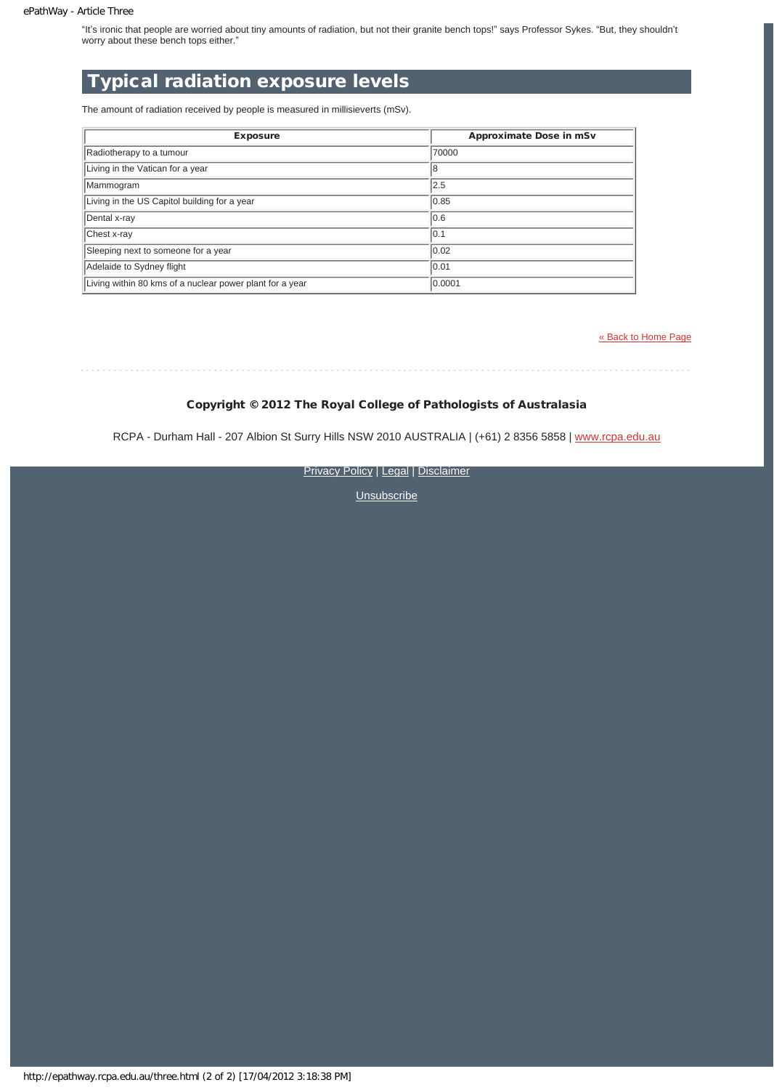"It's ironic that people are worried about tiny amounts of radiation, but not their granite bench tops!" says Professor Sykes. "But, they shouldn't worry about these bench tops either."

## Typical radiation exposure levels

The amount of radiation received by people is measured in millisieverts (mSv).

| <b>Exposure</b>                                          | <b>Approximate Dose in mSv</b> |
|----------------------------------------------------------|--------------------------------|
| Radiotherapy to a tumour                                 | 70000                          |
| Living in the Vatican for a year                         | 18                             |
| Mammogram                                                | 2.5                            |
| Living in the US Capitol building for a year             | 0.85                           |
| Dental x-ray                                             | 0.6                            |
| Chest x-ray                                              | 10.1                           |
| Sleeping next to someone for a year                      | $ 0.02\rangle$                 |
| Adelaide to Sydney flight                                | 0.01                           |
| Living within 80 kms of a nuclear power plant for a year | 0.0001                         |

[« Back to Home Page](http://epathway.rcpa.edu.au/index.html)

### Copyright © 2012 The Royal College of Pathologists of Australasia

RCPA - Durham Hall - 207 Albion St Surry Hills NSW 2010 AUSTRALIA | (+61) 2 8356 5858 | [www.rcpa.edu.au](http://www.rcpa.edu.au/)

**[Privacy Policy](http://www.rcpa.edu.au/Privacy.htm) | [Legal](http://www.rcpa.edu.au/Legal.htm) | [Disclaimer](http://www.rcpa.edu.au/Disclaimer.htm)**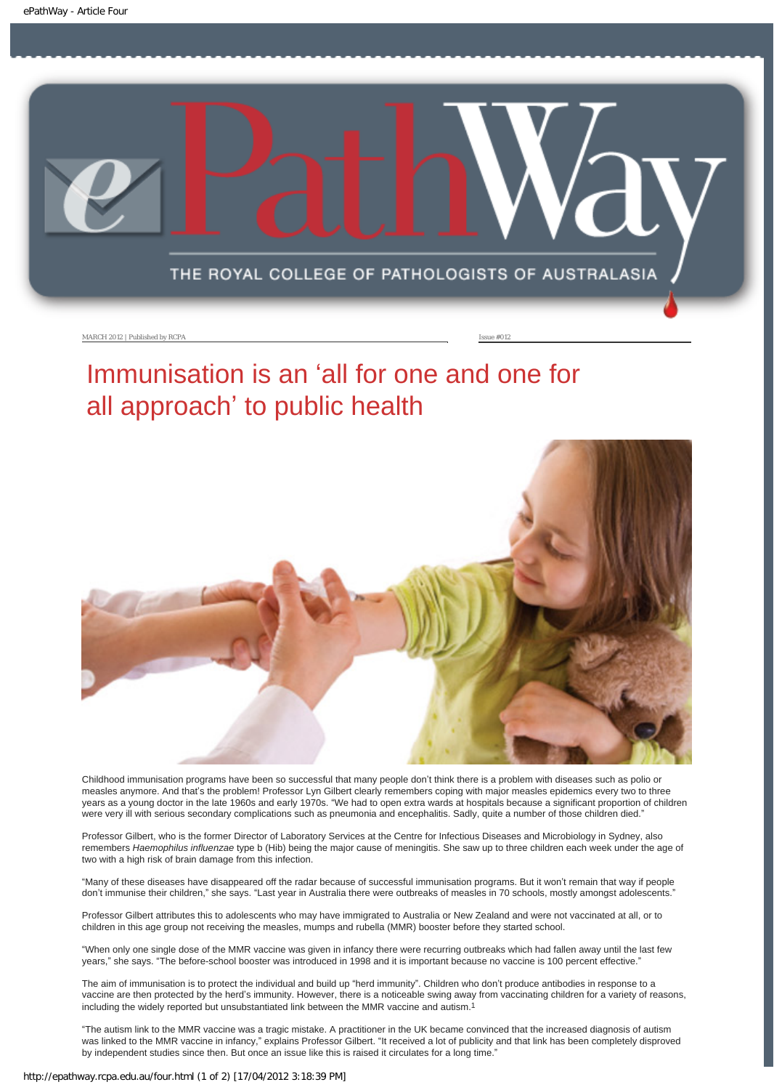<span id="page-8-0"></span>

MARCH 2012 | Published by RCPA **Issue #012** 

## Immunisation is an 'all for one and one for all approach' to public health



Childhood immunisation programs have been so successful that many people don't think there is a problem with diseases such as polio or measles anymore. And that's the problem! Professor Lyn Gilbert clearly remembers coping with major measles epidemics every two to three years as a young doctor in the late 1960s and early 1970s. "We had to open extra wards at hospitals because a significant proportion of children were very ill with serious secondary complications such as pneumonia and encephalitis. Sadly, quite a number of those children died."

Professor Gilbert, who is the former Director of Laboratory Services at the Centre for Infectious Diseases and Microbiology in Sydney, also remembers *Haemophilus influenzae* type b (Hib) being the major cause of meningitis. She saw up to three children each week under the age of two with a high risk of brain damage from this infection.

"Many of these diseases have disappeared off the radar because of successful immunisation programs. But it won't remain that way if people don't immunise their children," she says. "Last year in Australia there were outbreaks of measles in 70 schools, mostly amongst adolescents."

Professor Gilbert attributes this to adolescents who may have immigrated to Australia or New Zealand and were not vaccinated at all, or to children in this age group not receiving the measles, mumps and rubella (MMR) booster before they started school.

"When only one single dose of the MMR vaccine was given in infancy there were recurring outbreaks which had fallen away until the last few years," she says. "The before-school booster was introduced in 1998 and it is important because no vaccine is 100 percent effective."

The aim of immunisation is to protect the individual and build up "herd immunity". Children who don't produce antibodies in response to a vaccine are then protected by the herd's immunity. However, there is a noticeable swing away from vaccinating children for a variety of reasons, including the widely reported but unsubstantiated link between the MMR vaccine and autism.1

"The autism link to the MMR vaccine was a tragic mistake. A practitioner in the UK became convinced that the increased diagnosis of autism was linked to the MMR vaccine in infancy," explains Professor Gilbert. "It received a lot of publicity and that link has been completely disproved by independent studies since then. But once an issue like this is raised it circulates for a long time.'